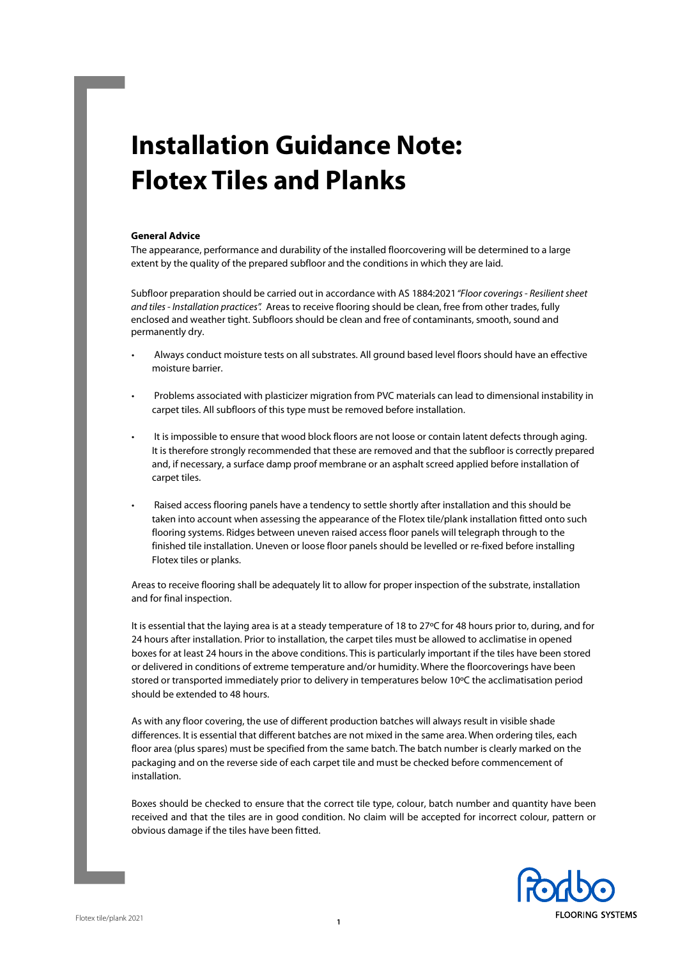# **Installation Guidance Note: Flotex Tiles and Planks**

#### **General Advice**

The appearance, performance and durability of the installed floorcovering will be determined to a large extent by the quality of the prepared subfloor and the conditions in which they are laid.

Subfloor preparation should be carried out in accordance with AS 1884:2021 "Floor coverings - Resilient sheet and tiles - Installation practices". Areas to receive flooring should be clean, free from other trades, fully enclosed and weather tight. Subfloors should be clean and free of contaminants, smooth, sound and permanently dry.

- Always conduct moisture tests on all substrates. All ground based level floors should have an effective moisture barrier.
- Problems associated with plasticizer migration from PVC materials can lead to dimensional instability in carpet tiles. All subfloors of this type must be removed before installation.
- It is impossible to ensure that wood block floors are not loose or contain latent defects through aging. It is therefore strongly recommended that these are removed and that the subfloor is correctly prepared and, if necessary, a surface damp proof membrane or an asphalt screed applied before installation of carpet tiles.
- Raised access flooring panels have a tendency to settle shortly after installation and this should be taken into account when assessing the appearance of the Flotex tile/plank installation fitted onto such flooring systems. Ridges between uneven raised access floor panels will telegraph through to the finished tile installation. Uneven or loose floor panels should be levelled or re-fixed before installing Flotex tiles or planks.

Areas to receive flooring shall be adequately lit to allow for proper inspection of the substrate, installation and for final inspection.

It is essential that the laying area is at a steady temperature of 18 to 27ºC for 48 hours prior to, during, and for 24 hours after installation. Prior to installation, the carpet tiles must be allowed to acclimatise in opened boxes for at least 24 hours in the above conditions. This is particularly important if the tiles have been stored or delivered in conditions of extreme temperature and/or humidity. Where the floorcoverings have been stored or transported immediately prior to delivery in temperatures below 10ºC the acclimatisation period should be extended to 48 hours.

As with any floor covering, the use of different production batches will always result in visible shade differences. It is essential that different batches are not mixed in the same area. When ordering tiles, each floor area (plus spares) must be specified from the same batch. The batch number is clearly marked on the packaging and on the reverse side of each carpet tile and must be checked before commencement of installation.

Boxes should be checked to ensure that the correct tile type, colour, batch number and quantity have been received and that the tiles are in good condition. No claim will be accepted for incorrect colour, pattern or obvious damage if the tiles have been fitted.

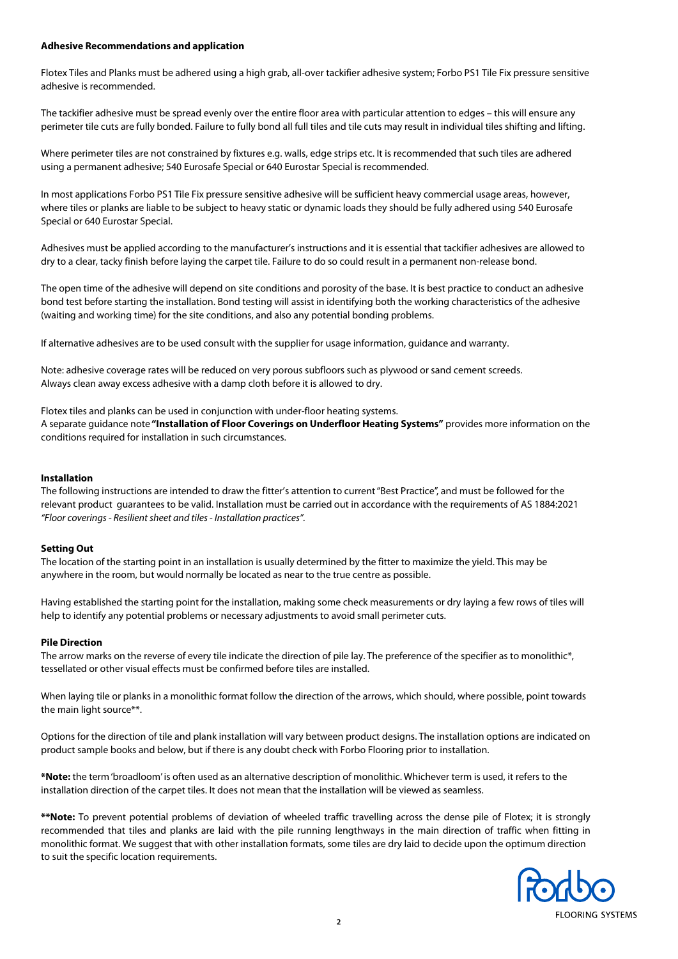## **Adhesive Recommendations and application**

Flotex Tiles and Planks must be adhered using a high grab, all-over tackifier adhesive system; Forbo PS1 Tile Fix pressure sensitive adhesive is recommended.

The tackifier adhesive must be spread evenly over the entire floor area with particular attention to edges – this will ensure any perimeter tile cuts are fully bonded. Failure to fully bond all full tiles and tile cuts may result in individual tiles shifting and lifting.

Where perimeter tiles are not constrained by fixtures e.g. walls, edge strips etc. It is recommended that such tiles are adhered using a permanent adhesive; 540 Eurosafe Special or 640 Eurostar Special is recommended.

In most applications Forbo PS1 Tile Fix pressure sensitive adhesive will be sufficient heavy commercial usage areas, however, where tiles or planks are liable to be subject to heavy static or dynamic loads they should be fully adhered using 540 Eurosafe Special or 640 Eurostar Special.

Adhesives must be applied according to the manufacturer's instructions and it is essential that tackifier adhesives are allowed to dry to a clear, tacky finish before laying the carpet tile. Failure to do so could result in a permanent non-release bond.

The open time of the adhesive will depend on site conditions and porosity of the base. It is best practice to conduct an adhesive bond test before starting the installation. Bond testing will assist in identifying both the working characteristics of the adhesive (waiting and working time) for the site conditions, and also any potential bonding problems.

If alternative adhesives are to be used consult with the supplier for usage information, guidance and warranty.

Note: adhesive coverage rates will be reduced on very porous subfloors such as plywood or sand cement screeds. Always clean away excess adhesive with a damp cloth before it is allowed to dry.

Flotex tiles and planks can be used in conjunction with under-floor heating systems.

A separate guidance note **"Installation of Floor Coverings on Underfloor Heating Systems"** provides more information on the conditions required for installation in such circumstances.

#### **Installation**

The following instructions are intended to draw the fitter's attention to current "Best Practice", and must be followed for the relevant product guarantees to be valid. Installation must be carried out in accordance with the requirements of AS 1884:2021 "Floor coverings - Resilient sheet and tiles - Installation practices".

## **Setting Out**

The location of the starting point in an installation is usually determined by the fitter to maximize the yield. This may be anywhere in the room, but would normally be located as near to the true centre as possible.

Having established the starting point for the installation, making some check measurements or dry laying a few rows of tiles will help to identify any potential problems or necessary adjustments to avoid small perimeter cuts.

## **Pile Direction**

The arrow marks on the reverse of every tile indicate the direction of pile lay. The preference of the specifier as to monolithic\*, tessellated or other visual effects must be confirmed before tiles are installed.

When laying tile or planks in a monolithic format follow the direction of the arrows, which should, where possible, point towards the main light source\*\*.

Options for the direction of tile and plank installation will vary between product designs. The installation options are indicated on product sample books and below, but if there is any doubt check with Forbo Flooring prior to installation.

**\*Note:** the term 'broadloom' is often used as an alternative description of monolithic. Whichever term is used, it refers to the installation direction of the carpet tiles. It does not mean that the installation will be viewed as seamless.

**\*\*Note:** To prevent potential problems of deviation of wheeled traffic travelling across the dense pile of Flotex; it is strongly recommended that tiles and planks are laid with the pile running lengthways in the main direction of traffic when fitting in monolithic format. We suggest that with other installation formats, some tiles are dry laid to decide upon the optimum direction to suit the specific location requirements.

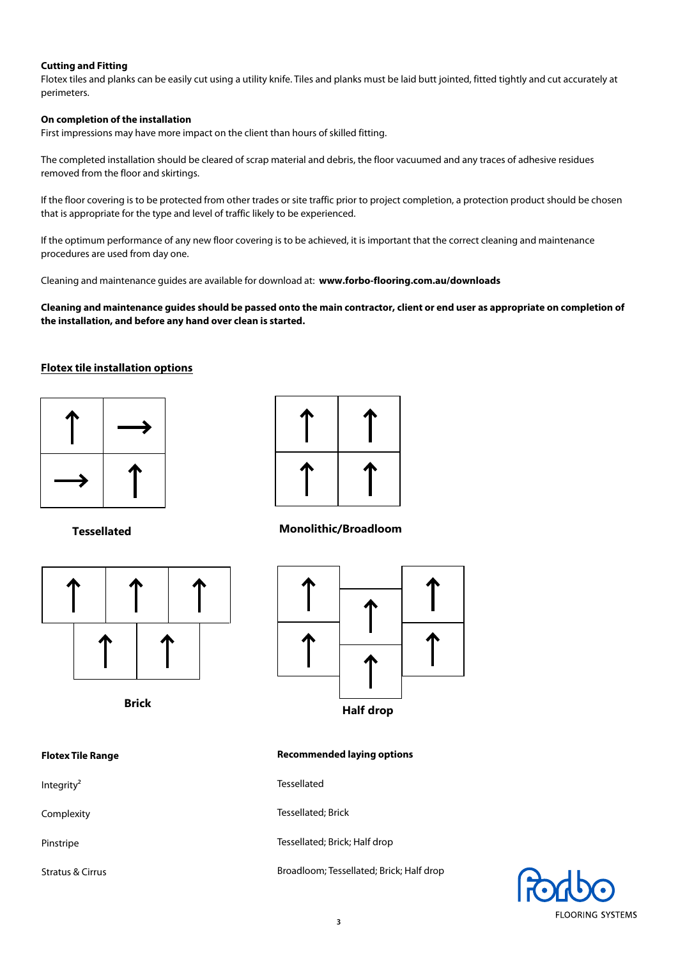## **Cutting and Fitting**

Flotex tiles and planks can be easily cut using a utility knife. Tiles and planks must be laid butt jointed, fitted tightly and cut accurately at perimeters.

## **On completion of the installation**

First impressions may have more impact on the client than hours of skilled fitting.

The completed installation should be cleared of scrap material and debris, the floor vacuumed and any traces of adhesive residues removed from the floor and skirtings.

If the floor covering is to be protected from other trades or site traffic prior to project completion, a protection product should be chosen that is appropriate for the type and level of traffic likely to be experienced.

If the optimum performance of any new floor covering is to be achieved, it is important that the correct cleaning and maintenance procedures are used from day one.

Cleaning and maintenance guides are available for download at: **[www.forbo-flooring.com.au/downloads](http://www.forbo-flooring.com.au/flotexdownloads)**

**Cleaning and maintenance guides should be passed onto the main contractor, client or end user as appropriate on completion of the installation, and before any hand over clean is started.**

# **Flotex tile installation options**







**Tessellated Monolithic/Broadloom**



Integrity<sup>2</sup> Tessellated



Complexity **Tessellated**; Brick

Pinstripe Tessellated; Brick; Half drop

Stratus & Cirrus **Broadloom**; Tessellated; Brick; Half drop